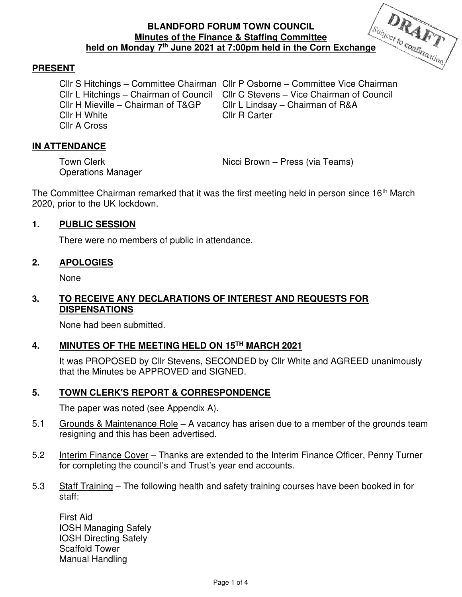# **BLANDFORD FORUM TOWN COUNCIL Minutes of the Finance & Staffing Committee held on Monday 7<sup>th</sup> June 2021 at 7:00pm held in the Corn Exchange <b>Allengary 2021** at 7:00pm held in the Corn Exchange



# **PRESENT**

Cllr H White Cllr R Carter Cllr A Cross

Cllr S Hitchings – Committee Chairman Cllr P Osborne – Committee Vice Chairman Cllr L Hitchings – Chairman of Council Cllr C Stevens – Vice Chairman of Council<br>Cllr H Mieville – Chairman of T&GP Cllr L Lindsav – Chairman of R&A Cllr L Lindsay – Chairman of R&A

# **IN ATTENDANCE**

Operations Manager

Town Clerk **Nicci Brown** – Press (via Teams)

The Committee Chairman remarked that it was the first meeting held in person since 16<sup>th</sup> March 2020, prior to the UK lockdown.

#### **1. PUBLIC SESSION**

There were no members of public in attendance.

#### **2. APOLOGIES**

None

# **3. TO RECEIVE ANY DECLARATIONS OF INTEREST AND REQUESTS FOR DISPENSATIONS**

None had been submitted.

#### **4. MINUTES OF THE MEETING HELD ON 15TH MARCH 2021**

It was PROPOSED by Cllr Stevens, SECONDED by Cllr White and AGREED unanimously that the Minutes be APPROVED and SIGNED.

#### **5. TOWN CLERK'S REPORT & CORRESPONDENCE**

The paper was noted (see Appendix A).

- 5.1 Grounds & Maintenance Role A vacancy has arisen due to a member of the grounds team resigning and this has been advertised.
- 5.2 Interim Finance Cover Thanks are extended to the Interim Finance Officer, Penny Turner for completing the council's and Trust's year end accounts.
- 5.3 Staff Training The following health and safety training courses have been booked in for staff:

First Aid IOSH Managing Safely IOSH Directing Safely Scaffold Tower Manual Handling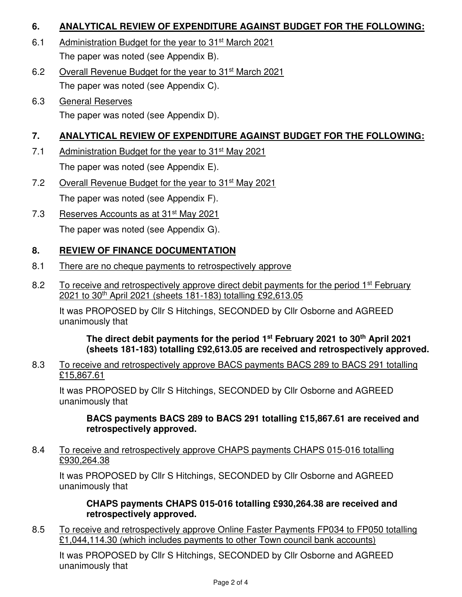# **6. ANALYTICAL REVIEW OF EXPENDITURE AGAINST BUDGET FOR THE FOLLOWING:**

- 6.1 Administration Budget for the year to 31st March 2021 The paper was noted (see Appendix B).
- 6.2 Overall Revenue Budget for the year to 31st March 2021 The paper was noted (see Appendix C).
- 6.3 General Reserves The paper was noted (see Appendix D).

# **7. ANALYTICAL REVIEW OF EXPENDITURE AGAINST BUDGET FOR THE FOLLOWING:**

- 7.1 Administration Budget for the year to 31<sup>st</sup> May 2021 The paper was noted (see Appendix E).
- 7.2 Overall Revenue Budget for the year to 31<sup>st</sup> May 2021 The paper was noted (see Appendix F).
- 7.3 Reserves Accounts as at 31<sup>st</sup> May 2021

The paper was noted (see Appendix G).

# **8. REVIEW OF FINANCE DOCUMENTATION**

- 8.1 There are no cheque payments to retrospectively approve
- 8.2 To receive and retrospectively approve direct debit payments for the period 1<sup>st</sup> February 2021 to 30th April 2021 (sheets 181-183) totalling £92,613.05

It was PROPOSED by Cllr S Hitchings, SECONDED by Cllr Osborne and AGREED unanimously that

**The direct debit payments for the period 1st February 2021 to 30th April 2021 (sheets 181-183) totalling £92,613.05 are received and retrospectively approved.** 

#### 8.3 To receive and retrospectively approve BACS payments BACS 289 to BACS 291 totalling £15,867.61

It was PROPOSED by Cllr S Hitchings, SECONDED by Cllr Osborne and AGREED unanimously that

#### **BACS payments BACS 289 to BACS 291 totalling £15,867.61 are received and retrospectively approved.**

8.4 To receive and retrospectively approve CHAPS payments CHAPS 015-016 totalling £930,264.38

It was PROPOSED by Cllr S Hitchings, SECONDED by Cllr Osborne and AGREED unanimously that

#### **CHAPS payments CHAPS 015-016 totalling £930,264.38 are received and retrospectively approved.**

8.5 To receive and retrospectively approve Online Faster Payments FP034 to FP050 totalling £1,044,114.30 (which includes payments to other Town council bank accounts)

It was PROPOSED by Cllr S Hitchings, SECONDED by Cllr Osborne and AGREED unanimously that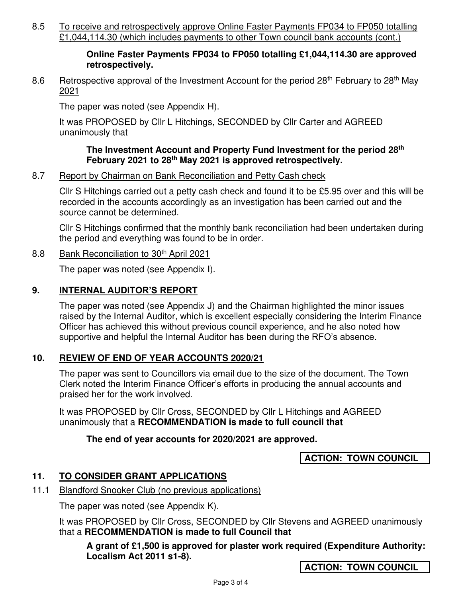8.5 To receive and retrospectively approve Online Faster Payments FP034 to FP050 totalling £1,044,114.30 (which includes payments to other Town council bank accounts (cont.)

#### **Online Faster Payments FP034 to FP050 totalling £1,044,114.30 are approved retrospectively.**

8.6 Retrospective approval of the Investment Account for the period 28<sup>th</sup> February to 28<sup>th</sup> May 2021

The paper was noted (see Appendix H).

It was PROPOSED by Cllr L Hitchings, SECONDED by Cllr Carter and AGREED unanimously that

#### **The Investment Account and Property Fund Investment for the period 28th February 2021 to 28th May 2021 is approved retrospectively.**

#### 8.7 Report by Chairman on Bank Reconciliation and Petty Cash check

Cllr S Hitchings carried out a petty cash check and found it to be £5.95 over and this will be recorded in the accounts accordingly as an investigation has been carried out and the source cannot be determined.

Cllr S Hitchings confirmed that the monthly bank reconciliation had been undertaken during the period and everything was found to be in order.

#### 8.8 Bank Reconciliation to 30<sup>th</sup> April 2021

The paper was noted (see Appendix I).

#### **9. INTERNAL AUDITOR'S REPORT**

The paper was noted (see Appendix J) and the Chairman highlighted the minor issues raised by the Internal Auditor, which is excellent especially considering the Interim Finance Officer has achieved this without previous council experience, and he also noted how supportive and helpful the Internal Auditor has been during the RFO's absence.

# **10. REVIEW OF END OF YEAR ACCOUNTS 2020/21**

The paper was sent to Councillors via email due to the size of the document. The Town Clerk noted the Interim Finance Officer's efforts in producing the annual accounts and praised her for the work involved.

It was PROPOSED by Cllr Cross, SECONDED by Cllr L Hitchings and AGREED unanimously that a **RECOMMENDATION is made to full council that** 

# **The end of year accounts for 2020/2021 are approved.**

**ACTION: TOWN COUNCIL** 

# **11. TO CONSIDER GRANT APPLICATIONS**

11.1 Blandford Snooker Club (no previous applications)

The paper was noted (see Appendix K).

It was PROPOSED by Cllr Cross, SECONDED by Cllr Stevens and AGREED unanimously that a **RECOMMENDATION is made to full Council that**

**A grant of £1,500 is approved for plaster work required (Expenditure Authority: Localism Act 2011 s1-8).** 

**ACTION: TOWN COUNCIL**